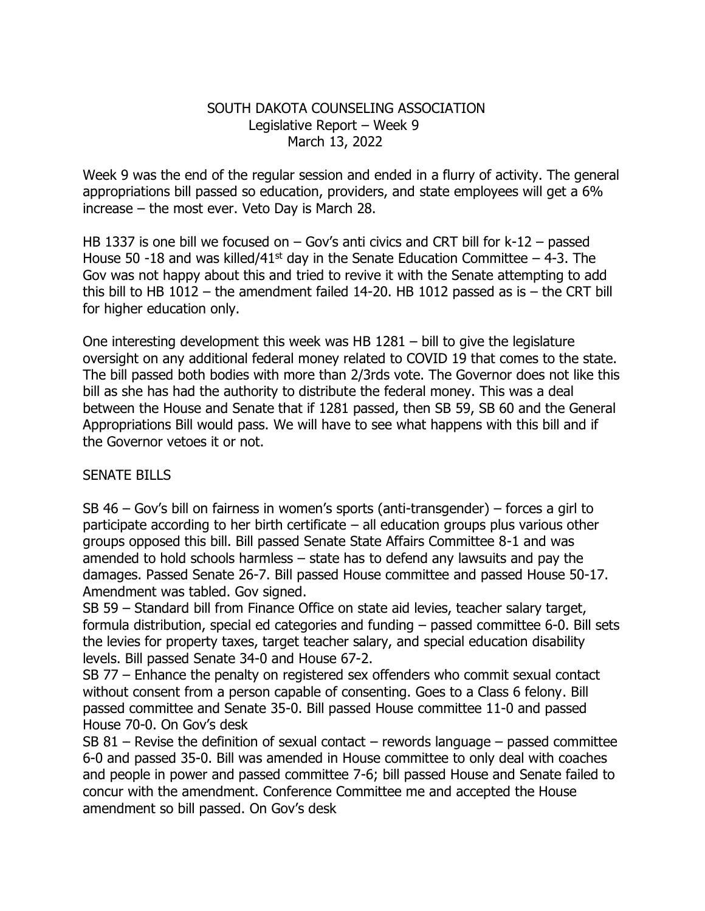## SOUTH DAKOTA COUNSELING ASSOCIATION Legislative Report – Week 9 March 13, 2022

Week 9 was the end of the regular session and ended in a flurry of activity. The general appropriations bill passed so education, providers, and state employees will get a 6% increase – the most ever. Veto Day is March 28.

HB 1337 is one bill we focused on – Gov's anti civics and CRT bill for k-12 – passed House 50 -18 and was killed/41<sup>st</sup> day in the Senate Education Committee  $-$  4-3. The Gov was not happy about this and tried to revive it with the Senate attempting to add this bill to HB 1012 – the amendment failed 14-20. HB 1012 passed as is  $-$  the CRT bill for higher education only.

One interesting development this week was HB 1281 – bill to give the legislature oversight on any additional federal money related to COVID 19 that comes to the state. The bill passed both bodies with more than 2/3rds vote. The Governor does not like this bill as she has had the authority to distribute the federal money. This was a deal between the House and Senate that if 1281 passed, then SB 59, SB 60 and the General Appropriations Bill would pass. We will have to see what happens with this bill and if the Governor vetoes it or not.

## SENATE BILLS

SB 46 – Gov's bill on fairness in women's sports (anti-transgender) – forces a girl to participate according to her birth certificate – all education groups plus various other groups opposed this bill. Bill passed Senate State Affairs Committee 8-1 and was amended to hold schools harmless – state has to defend any lawsuits and pay the damages. Passed Senate 26-7. Bill passed House committee and passed House 50-17. Amendment was tabled. Gov signed.

SB 59 – Standard bill from Finance Office on state aid levies, teacher salary target, formula distribution, special ed categories and funding – passed committee 6-0. Bill sets the levies for property taxes, target teacher salary, and special education disability levels. Bill passed Senate 34-0 and House 67-2.

SB 77 – Enhance the penalty on registered sex offenders who commit sexual contact without consent from a person capable of consenting. Goes to a Class 6 felony. Bill passed committee and Senate 35-0. Bill passed House committee 11-0 and passed House 70-0. On Gov's desk

SB 81 – Revise the definition of sexual contact – rewords language – passed committee 6-0 and passed 35-0. Bill was amended in House committee to only deal with coaches and people in power and passed committee 7-6; bill passed House and Senate failed to concur with the amendment. Conference Committee me and accepted the House amendment so bill passed. On Gov's desk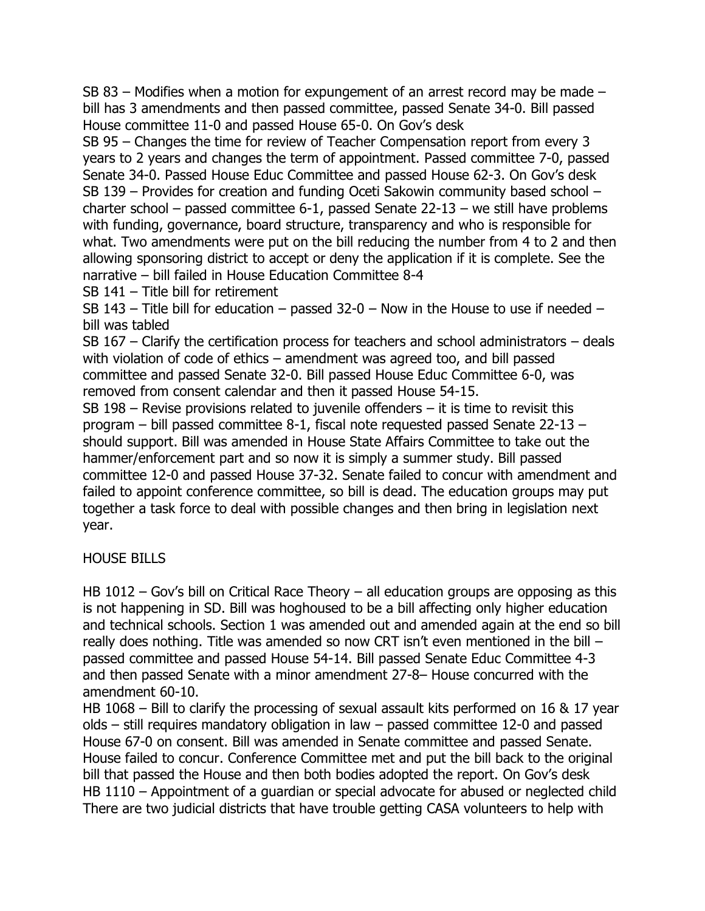SB 83 – Modifies when a motion for expungement of an arrest record may be made – bill has 3 amendments and then passed committee, passed Senate 34-0. Bill passed House committee 11-0 and passed House 65-0. On Gov's desk

SB 95 – Changes the time for review of Teacher Compensation report from every 3 years to 2 years and changes the term of appointment. Passed committee 7-0, passed Senate 34-0. Passed House Educ Committee and passed House 62-3. On Gov's desk SB 139 – Provides for creation and funding Oceti Sakowin community based school – charter school – passed committee 6-1, passed Senate 22-13 – we still have problems with funding, governance, board structure, transparency and who is responsible for what. Two amendments were put on the bill reducing the number from 4 to 2 and then allowing sponsoring district to accept or deny the application if it is complete. See the narrative – bill failed in House Education Committee 8-4

SB 141 – Title bill for retirement

SB 143 – Title bill for education – passed 32-0 – Now in the House to use if needed – bill was tabled

SB 167 – Clarify the certification process for teachers and school administrators – deals with violation of code of ethics – amendment was agreed too, and bill passed committee and passed Senate 32-0. Bill passed House Educ Committee 6-0, was removed from consent calendar and then it passed House 54-15.

SB 198 – Revise provisions related to juvenile offenders – it is time to revisit this program – bill passed committee 8-1, fiscal note requested passed Senate 22-13 – should support. Bill was amended in House State Affairs Committee to take out the hammer/enforcement part and so now it is simply a summer study. Bill passed committee 12-0 and passed House 37-32. Senate failed to concur with amendment and failed to appoint conference committee, so bill is dead. The education groups may put together a task force to deal with possible changes and then bring in legislation next year.

## HOUSE BILLS

HB 1012 – Gov's bill on Critical Race Theory – all education groups are opposing as this is not happening in SD. Bill was hoghoused to be a bill affecting only higher education and technical schools. Section 1 was amended out and amended again at the end so bill really does nothing. Title was amended so now CRT isn't even mentioned in the bill – passed committee and passed House 54-14. Bill passed Senate Educ Committee 4-3 and then passed Senate with a minor amendment 27-8– House concurred with the amendment 60-10.

HB 1068 – Bill to clarify the processing of sexual assault kits performed on 16 & 17 year olds – still requires mandatory obligation in law – passed committee 12-0 and passed House 67-0 on consent. Bill was amended in Senate committee and passed Senate. House failed to concur. Conference Committee met and put the bill back to the original bill that passed the House and then both bodies adopted the report. On Gov's desk HB 1110 – Appointment of a quardian or special advocate for abused or neglected child There are two judicial districts that have trouble getting CASA volunteers to help with